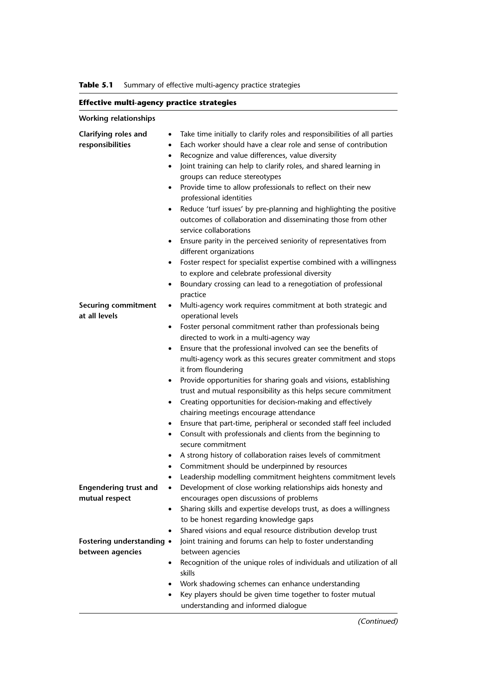**Table 5.1** Summary of effective multi-agency practice strategies

# **Effective multi-agency practice strategies**

| <b>Working relationships</b>                   |                                                                                                                                                                                                                                                                                                                                                                                                                                                                                                                                                                                                                                                                                                                                                                                                                                                                                                                                                                |
|------------------------------------------------|----------------------------------------------------------------------------------------------------------------------------------------------------------------------------------------------------------------------------------------------------------------------------------------------------------------------------------------------------------------------------------------------------------------------------------------------------------------------------------------------------------------------------------------------------------------------------------------------------------------------------------------------------------------------------------------------------------------------------------------------------------------------------------------------------------------------------------------------------------------------------------------------------------------------------------------------------------------|
| Clarifying roles and<br>responsibilities       | Take time initially to clarify roles and responsibilities of all parties<br>$\bullet$<br>Each worker should have a clear role and sense of contribution<br>$\bullet$<br>Recognize and value differences, value diversity<br>$\bullet$<br>Joint training can help to clarify roles, and shared learning in<br>$\bullet$<br>groups can reduce stereotypes<br>Provide time to allow professionals to reflect on their new<br>$\bullet$<br>professional identities<br>Reduce 'turf issues' by pre-planning and highlighting the positive<br>٠<br>outcomes of collaboration and disseminating those from other<br>service collaborations<br>Ensure parity in the perceived seniority of representatives from<br>different organizations<br>Foster respect for specialist expertise combined with a willingness<br>to explore and celebrate professional diversity<br>Boundary crossing can lead to a renegotiation of professional<br>$\bullet$                     |
| <b>Securing commitment</b><br>at all levels    | practice<br>Multi-agency work requires commitment at both strategic and<br>$\bullet$<br>operational levels<br>Foster personal commitment rather than professionals being<br>directed to work in a multi-agency way<br>Ensure that the professional involved can see the benefits of<br>$\bullet$<br>multi-agency work as this secures greater commitment and stops<br>it from floundering<br>Provide opportunities for sharing goals and visions, establishing<br>٠<br>trust and mutual responsibility as this helps secure commitment<br>Creating opportunities for decision-making and effectively<br>٠<br>chairing meetings encourage attendance<br>Ensure that part-time, peripheral or seconded staff feel included<br>$\bullet$<br>Consult with professionals and clients from the beginning to<br>$\bullet$<br>secure commitment<br>A strong history of collaboration raises levels of commitment<br>٠<br>Commitment should be underpinned by resources |
| <b>Engendering trust and</b><br>mutual respect | Leadership modelling commitment heightens commitment levels<br>Development of close working relationships aids honesty and<br>٠<br>encourages open discussions of problems<br>Sharing skills and expertise develops trust, as does a willingness<br>to be honest regarding knowledge gaps<br>Shared visions and equal resource distribution develop trust<br>$\bullet$                                                                                                                                                                                                                                                                                                                                                                                                                                                                                                                                                                                         |
| Fostering understanding •<br>between agencies  | Joint training and forums can help to foster understanding<br>between agencies<br>Recognition of the unique roles of individuals and utilization of all<br>$\bullet$<br>skills<br>Work shadowing schemes can enhance understanding<br>Key players should be given time together to foster mutual<br>understanding and informed dialogue                                                                                                                                                                                                                                                                                                                                                                                                                                                                                                                                                                                                                        |

(Continued)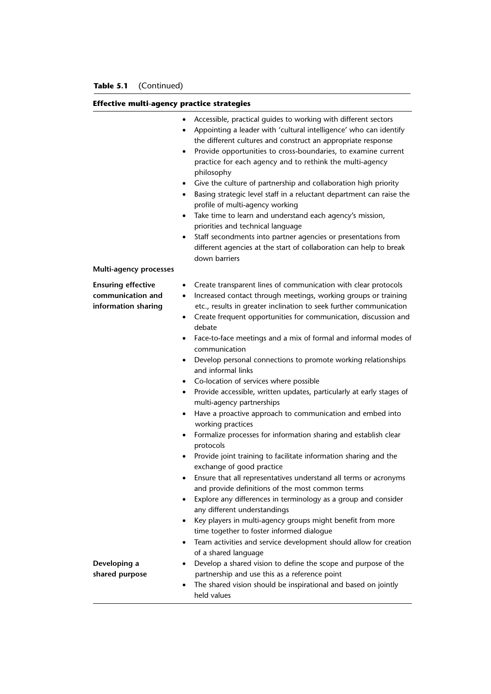### **Effective multi-agency practice strategies**

|                                                                       | Accessible, practical guides to working with different sectors<br>٠<br>Appointing a leader with 'cultural intelligence' who can identify<br>$\bullet$<br>the different cultures and construct an appropriate response<br>Provide opportunities to cross-boundaries, to examine current<br>$\bullet$<br>practice for each agency and to rethink the multi-agency<br>philosophy<br>Give the culture of partnership and collaboration high priority<br>Basing strategic level staff in a reluctant department can raise the<br>profile of multi-agency working<br>Take time to learn and understand each agency's mission,<br>$\bullet$<br>priorities and technical language<br>Staff secondments into partner agencies or presentations from<br>$\bullet$<br>different agencies at the start of collaboration can help to break<br>down barriers |
|-----------------------------------------------------------------------|------------------------------------------------------------------------------------------------------------------------------------------------------------------------------------------------------------------------------------------------------------------------------------------------------------------------------------------------------------------------------------------------------------------------------------------------------------------------------------------------------------------------------------------------------------------------------------------------------------------------------------------------------------------------------------------------------------------------------------------------------------------------------------------------------------------------------------------------|
| Multi-agency processes                                                |                                                                                                                                                                                                                                                                                                                                                                                                                                                                                                                                                                                                                                                                                                                                                                                                                                                |
| <b>Ensuring effective</b><br>communication and<br>information sharing | Create transparent lines of communication with clear protocols<br>$\bullet$<br>Increased contact through meetings, working groups or training<br>$\bullet$<br>etc., results in greater inclination to seek further communication<br>Create frequent opportunities for communication, discussion and<br>debate                                                                                                                                                                                                                                                                                                                                                                                                                                                                                                                                  |
|                                                                       | Face-to-face meetings and a mix of formal and informal modes of<br>communication                                                                                                                                                                                                                                                                                                                                                                                                                                                                                                                                                                                                                                                                                                                                                               |
|                                                                       | Develop personal connections to promote working relationships<br>$\bullet$<br>and informal links                                                                                                                                                                                                                                                                                                                                                                                                                                                                                                                                                                                                                                                                                                                                               |
|                                                                       | Co-location of services where possible                                                                                                                                                                                                                                                                                                                                                                                                                                                                                                                                                                                                                                                                                                                                                                                                         |
|                                                                       | Provide accessible, written updates, particularly at early stages of<br>٠<br>multi-agency partnerships                                                                                                                                                                                                                                                                                                                                                                                                                                                                                                                                                                                                                                                                                                                                         |
|                                                                       | Have a proactive approach to communication and embed into<br>٠<br>working practices                                                                                                                                                                                                                                                                                                                                                                                                                                                                                                                                                                                                                                                                                                                                                            |
|                                                                       | Formalize processes for information sharing and establish clear<br>$\bullet$<br>protocols                                                                                                                                                                                                                                                                                                                                                                                                                                                                                                                                                                                                                                                                                                                                                      |
|                                                                       | Provide joint training to facilitate information sharing and the<br>exchange of good practice                                                                                                                                                                                                                                                                                                                                                                                                                                                                                                                                                                                                                                                                                                                                                  |
|                                                                       | Ensure that all representatives understand all terms or acronyms<br>and provide definitions of the most common terms                                                                                                                                                                                                                                                                                                                                                                                                                                                                                                                                                                                                                                                                                                                           |
|                                                                       | Explore any differences in terminology as a group and consider<br>$\bullet$<br>any different understandings                                                                                                                                                                                                                                                                                                                                                                                                                                                                                                                                                                                                                                                                                                                                    |
|                                                                       | Key players in multi-agency groups might benefit from more<br>time together to foster informed dialogue                                                                                                                                                                                                                                                                                                                                                                                                                                                                                                                                                                                                                                                                                                                                        |
|                                                                       | Team activities and service development should allow for creation<br>٠                                                                                                                                                                                                                                                                                                                                                                                                                                                                                                                                                                                                                                                                                                                                                                         |
| Developing a                                                          | of a shared language<br>Develop a shared vision to define the scope and purpose of the<br>٠                                                                                                                                                                                                                                                                                                                                                                                                                                                                                                                                                                                                                                                                                                                                                    |
| shared purpose                                                        | partnership and use this as a reference point                                                                                                                                                                                                                                                                                                                                                                                                                                                                                                                                                                                                                                                                                                                                                                                                  |
|                                                                       | The shared vision should be inspirational and based on jointly<br>held values                                                                                                                                                                                                                                                                                                                                                                                                                                                                                                                                                                                                                                                                                                                                                                  |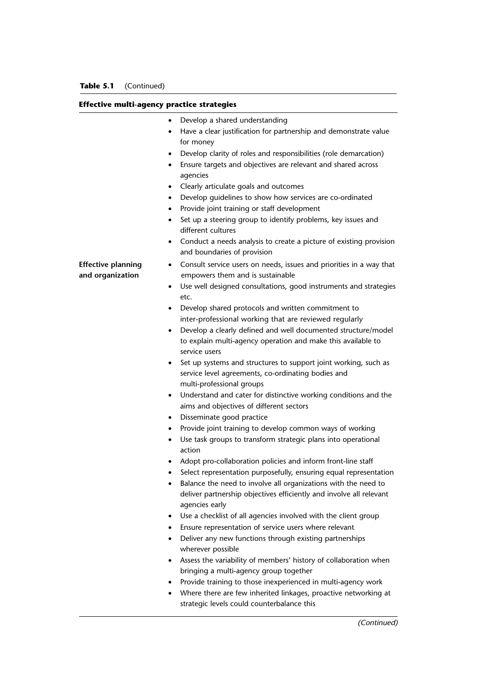#### **Effective multi-agency practice strategies**

|                                               | Develop a shared understanding                                                                                                                          |
|-----------------------------------------------|---------------------------------------------------------------------------------------------------------------------------------------------------------|
|                                               | Have a clear justification for partnership and demonstrate value<br>for money                                                                           |
|                                               | Develop clarity of roles and responsibilities (role demarcation)                                                                                        |
|                                               | Ensure targets and objectives are relevant and shared across<br>agencies                                                                                |
|                                               | Clearly articulate goals and outcomes<br>$\bullet$                                                                                                      |
|                                               | Develop guidelines to show how services are co-ordinated                                                                                                |
|                                               | Provide joint training or staff development<br>٠                                                                                                        |
|                                               | Set up a steering group to identify problems, key issues and<br>٠<br>different cultures                                                                 |
|                                               |                                                                                                                                                         |
|                                               | Conduct a needs analysis to create a picture of existing provision<br>$\bullet$<br>and boundaries of provision                                          |
| <b>Effective planning</b><br>and organization | Consult service users on needs, issues and priorities in a way that<br>٠<br>empowers them and is sustainable                                            |
|                                               | Use well designed consultations, good instruments and strategies<br>etc.                                                                                |
|                                               | Develop shared protocols and written commitment to<br>٠                                                                                                 |
|                                               | inter-professional working that are reviewed regularly                                                                                                  |
|                                               | Develop a clearly defined and well documented structure/model                                                                                           |
|                                               | to explain multi-agency operation and make this available to<br>service users                                                                           |
|                                               | Set up systems and structures to support joint working, such as<br>service level agreements, co-ordinating bodies and                                   |
|                                               | multi-professional groups                                                                                                                               |
|                                               | Understand and cater for distinctive working conditions and the<br>$\bullet$<br>aims and objectives of different sectors                                |
|                                               | Disseminate good practice<br>$\bullet$                                                                                                                  |
|                                               | Provide joint training to develop common ways of working                                                                                                |
|                                               | Use task groups to transform strategic plans into operational<br>٠<br>action                                                                            |
|                                               | Adopt pro-collaboration policies and inform front-line staff                                                                                            |
|                                               | Select representation purposefully, ensuring equal representation                                                                                       |
|                                               | Balance the need to involve all organizations with the need to<br>deliver partnership objectives efficiently and involve all relevant<br>agencies early |
|                                               | Use a checklist of all agencies involved with the client group<br>٠                                                                                     |
|                                               | Ensure representation of service users where relevant                                                                                                   |
|                                               | Deliver any new functions through existing partnerships                                                                                                 |
|                                               | wherever possible                                                                                                                                       |
|                                               | Assess the variability of members' history of collaboration when<br>٠<br>bringing a multi-agency group together                                         |
|                                               | Provide training to those inexperienced in multi-agency work<br>٠                                                                                       |
|                                               | Where there are few inherited linkages, proactive networking at<br>٠<br>strategic levels could counterbalance this                                      |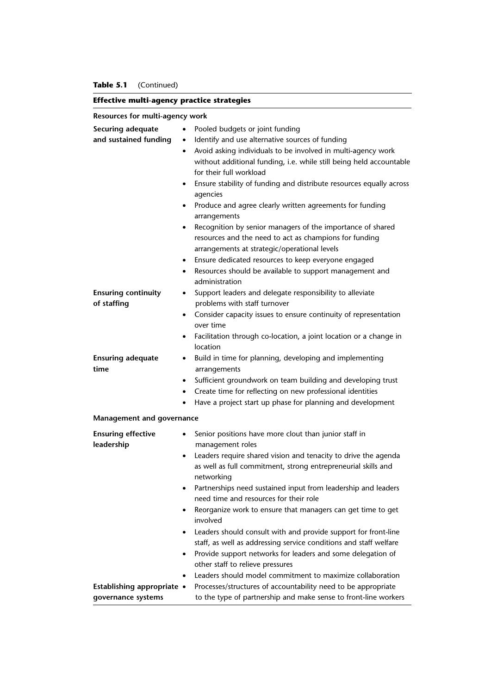| <b>Effective multi-agency practice strategies</b> |  |
|---------------------------------------------------|--|
|                                                   |  |

**Resources for multi-agency work**

| Securing adequate          | Pooled budgets or joint funding<br>$\bullet$                                   |
|----------------------------|--------------------------------------------------------------------------------|
| and sustained funding      | Identify and use alternative sources of funding<br>$\bullet$                   |
|                            | Avoid asking individuals to be involved in multi-agency work<br>$\bullet$      |
|                            | without additional funding, i.e. while still being held accountable            |
|                            | for their full workload                                                        |
|                            | Ensure stability of funding and distribute resources equally across<br>٠       |
|                            | agencies                                                                       |
|                            | Produce and agree clearly written agreements for funding<br>$\bullet$          |
|                            | arrangements                                                                   |
|                            | Recognition by senior managers of the importance of shared<br>$\bullet$        |
|                            | resources and the need to act as champions for funding                         |
|                            | arrangements at strategic/operational levels                                   |
|                            | Ensure dedicated resources to keep everyone engaged<br>$\bullet$               |
|                            | Resources should be available to support management and<br>$\bullet$           |
|                            | administration                                                                 |
| <b>Ensuring continuity</b> | Support leaders and delegate responsibility to alleviate<br>$\bullet$          |
| of staffing                | problems with staff turnover                                                   |
|                            | Consider capacity issues to ensure continuity of representation<br>$\bullet$   |
|                            | over time                                                                      |
|                            | Facilitation through co-location, a joint location or a change in<br>$\bullet$ |
|                            | location                                                                       |
| <b>Ensuring adequate</b>   | Build in time for planning, developing and implementing<br>$\bullet$           |
| time                       | arrangements                                                                   |
|                            | Sufficient groundwork on team building and developing trust<br>$\bullet$       |
|                            | Create time for reflecting on new professional identities<br>$\bullet$         |
|                            | Have a project start up phase for planning and development<br>$\bullet$        |
| Management and governance  |                                                                                |
|                            |                                                                                |
| <b>Ensuring effective</b>  | Senior positions have more clout than junior staff in<br>$\bullet$             |
| leadership                 | management roles                                                               |
|                            | Leaders require shared vision and tenacity to drive the agenda<br>$\bullet$    |
|                            | as well as full commitment, strong entrepreneurial skills and                  |
|                            | networking                                                                     |
|                            | Partnerships need sustained input from leadership and leaders                  |
|                            | need time and resources for their role                                         |
|                            | Reorganize work to ensure that managers can get time to get                    |
|                            | involved                                                                       |
|                            | Leaders should consult with and provide support for front-line<br>$\bullet$    |
|                            | staff, as well as addressing service conditions and staff welfare              |
|                            | Provide support networks for leaders and some delegation of<br>$\bullet$       |
|                            | other staff to relieve pressures                                               |
|                            | Leaders should model commitment to maximize collaboration<br>$\bullet$         |
| Establishing appropriate • | Processes/structures of accountability need to be appropriate                  |
| governance systems         | to the type of partnership and make sense to front-line workers                |
|                            |                                                                                |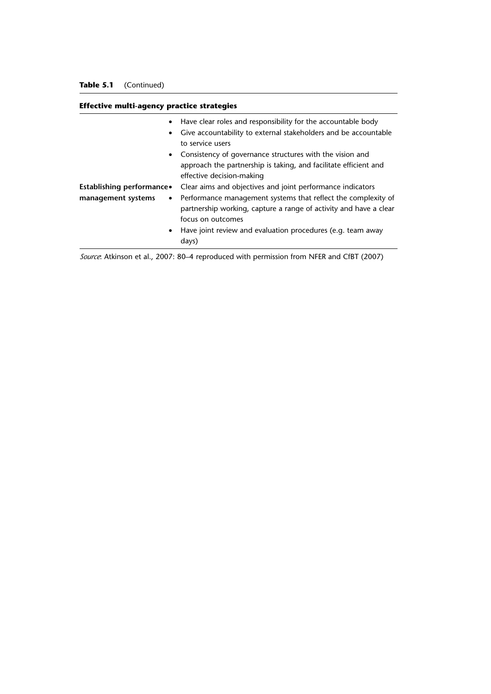# **Effective multi-agency practice strategies**

| $\bullet$<br>$\bullet$                                       | Have clear roles and responsibility for the accountable body<br>Give accountability to external stakeholders and be accountable<br>to service users                                                                   |
|--------------------------------------------------------------|-----------------------------------------------------------------------------------------------------------------------------------------------------------------------------------------------------------------------|
|                                                              | • Consistency of governance structures with the vision and<br>approach the partnership is taking, and facilitate efficient and<br>effective decision-making                                                           |
| Establishing performance.<br>management systems<br>$\bullet$ | Clear aims and objectives and joint performance indicators<br>Performance management systems that reflect the complexity of<br>partnership working, capture a range of activity and have a clear<br>focus on outcomes |
| $\bullet$                                                    | Have joint review and evaluation procedures (e.g. team away<br>days)                                                                                                                                                  |

*Source*: Atkinson et al., 2007: 80–4 reproduced with permission from NFER and CfBT (2007)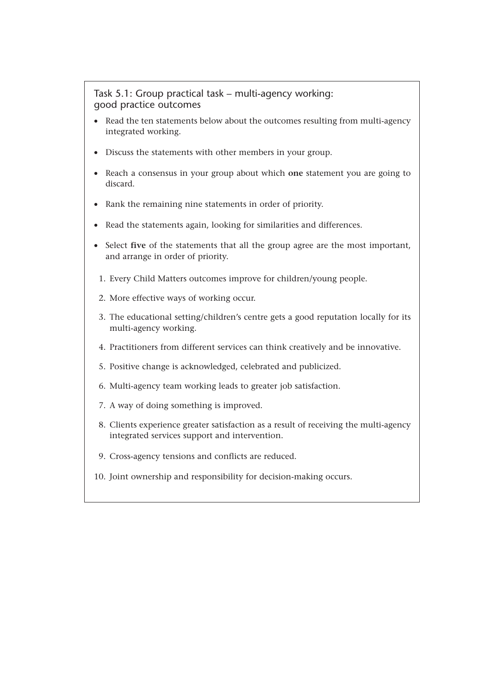# Task 5.1: Group practical task – multi-agency working: good practice outcomes

- Read the ten statements below about the outcomes resulting from multi-agency integrated working.
- Discuss the statements with other members in your group.
- Reach a consensus in your group about which **one** statement you are going to discard.
- Rank the remaining nine statements in order of priority.
- Read the statements again, looking for similarities and differences.
- Select **five** of the statements that all the group agree are the most important, and arrange in order of priority.
	- 1. Every Child Matters outcomes improve for children/young people.
	- 2. More effective ways of working occur.
	- 3. The educational setting/children's centre gets a good reputation locally for its multi-agency working.
	- 4. Practitioners from different services can think creatively and be innovative.
	- 5. Positive change is acknowledged, celebrated and publicized.
	- 6. Multi-agency team working leads to greater job satisfaction.
	- 7. A way of doing something is improved.
- 8. Clients experience greater satisfaction as a result of receiving the multi-agency integrated services support and intervention.
- 9. Cross-agency tensions and conflicts are reduced.
- 10. Joint ownership and responsibility for decision-making occurs.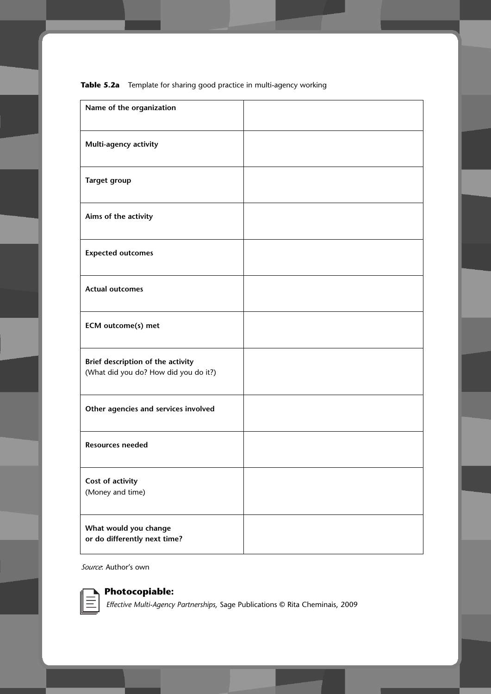| Name of the organization                                                   |  |
|----------------------------------------------------------------------------|--|
| Multi-agency activity                                                      |  |
| <b>Target group</b>                                                        |  |
| Aims of the activity                                                       |  |
| <b>Expected outcomes</b>                                                   |  |
| <b>Actual outcomes</b>                                                     |  |
| ECM outcome(s) met                                                         |  |
| Brief description of the activity<br>(What did you do? How did you do it?) |  |
| Other agencies and services involved                                       |  |
| <b>Resources needed</b>                                                    |  |
| Cost of activity<br>(Money and time)                                       |  |
| What would you change<br>or do differently next time?                      |  |

**Table 5.2a** Template for sharing good practice in multi-agency working

*Source*: Author's own



**Photocopiable:**

*Effective Multi-Agency Partnerships,* Sage Publications © Rita Cheminais, 2009